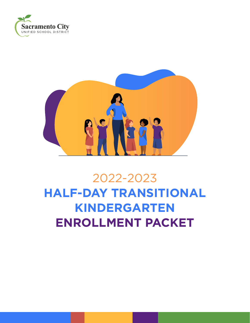



# 2022-2023 **HALF-DAY TRANSITIONAL KINDERGARTEN ENROLLMENT PACKET**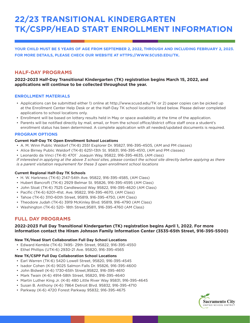## **22/23 TRANSITIONAL KINDERGARTEN TK/CSPP/HEAD START ENROLLMENT INFORMATION**

**YOUR CHILD MUST BE 5 YEARS OF AGE FROM SEPTEMBER 2, 2022, THROUGH AND INCLUDING FEBRUARY 2, 2023. FOR MORE DETAILS, PLEASE CHECK OUR WEBSITE AT [HTTPS://WWW.SCUSD.EDU/TK](https://www.scusd.edu/TK).**

#### **HALF-DAY PROGRAMS**

**2022-2023 Half-Day Transitional Kindergarten (TK) registration begins March 15, 2022, and applications will continue to be collected throughout the year.** 

#### **ENROLLMENT MATERIALS**

- Applications can be submitted either 1) online at http://www.scusd.edu/TK or 2) paper copies can be picked up at the Enrollment Center Help Desk or at the Half-Day TK school locations listed below. Please deliver completed applications to school locations only.
- Enrollment will be based on lottery results held in May or space availability at the time of the application.
- Parents will be notified directly by mail, email, or from the school office/district office staff once a student's enrollment status has been determined. A complete application with all needed/updated documents is required.

#### **PROGRAM OPTIONS**

#### **Current Half-Day TK Open Enrollment School Locations**

- A. M. Winn Public Waldorf (TK-8) 2551 Explorer Dr. 95827, 916-395-4505, (AM and PM classes)
- Alice Birney Public Waldorf (TK-8) 6251-13th St. 95831, 916-395-4510, (AM and PM classes)
- Leonardo da Vinci (TK-8) 4701` Joaquin Way, 95822, 916-395-4635, (AM class)

*If interested in applying at the above 3 school sites, please contact the school site directly before applying as there is a parent visitation requirement for these 3 open enrollment school locations*

#### **Current Regional Half-Day TK Schools**

- H. W. Harkness (TK-6) 2147-54th Ave. 95822, 916-395-4585, (AM Class)
- Hubert Bancroft (TK-6) 2929 Belmar St. 95826, 916-395-4595 (AM Class)
- John Sloat (TK-6) 7525 Candlewood Way 95822, 916-395-4620 (AM Class)
- Pacific (TK-6) 6201-41st. Ave. 95822, 916-395-4670, (AM Class)
- Tahoe (TK-6) 3110-60th Street, 95819, 916-395-4750, (AM Class)
- Theodore Judah (TK-6) 3919 McKinley Blvd. 95819, 916-4790 (AM Class)
- Washington (TK-6) 520- 18th Street,95811, 916-395-4760 (AM Class)

#### **FULL DAY PROGRAMS**

#### **2022-2023 Full Day Transitional Kindergarten (TK) registration begins April 1, 2022. For more information contact the Hiram Johnson Family Information Center (3535-65th Street, 916-395-5500)**

#### **New TK/Head Start Collaboration Full Day School Locations**

- Edward Kemble (TK-6) 7495- 29th Street, 95822, 916-395-4550
- Ethel Phillips (UTK-6) 2930-21 Ave. 95820, 916-395-4565

#### **New TK/CSPP Full Day Collaboration School Locations**

- Earl Warren (TK-6) 5420 Lowell Street, 95820, 916-395-4545
- Isador Cohen (K-6) 9025 Salmon Falls Dr. 95826, 916-395-4600
- John Bidwell (K-6) 1730-65th Street,95822, 916-395-4610
- Mark Twain (K-6) 4914-58th Street, 95820, 916-395-4640
- Martin Luther King Jr. (K-8) 480 Little River Way 95831, 916-395-4645
- Susan B. Anthony (K-6) 7864 Detroit Blvd. 95832, 916-395-4710
- Parkway (K-6) 4720 Forest Parkway 95832, 916-395-4675

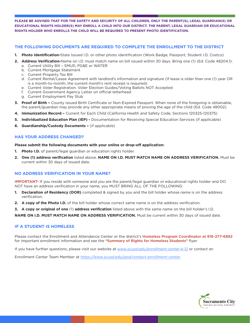**PLEASE BE ADVISED THAT FOR THE SAFETY AND SECURITY OF ALL CHILDREN, ONLY THE PARENT(S), LEGAL GUARDIAN(S) OR EDUCATIONAL RIGHTS HOLDER(S) MAY ENROLL A CHILD INTO OUR DISTRICT. THE PARENT, LEGAL GUARDIAN OR EDUCATIONAL RIGHTS HOLDER WHO ENROLLS THE CHILD WILL BE REQUIRED TO PRESENT PHOTO IDENTIFICATION.** 

#### **THE FOLLOWING DOCUMENTS ARE REQUIRED TO COMPLETE THE ENROLLMENT TO THE DISTRICT**

- **1. Photo Identification-**State Issued I.D. or other photo identification (Work Badge, Passport, Student I.D, Costco)
- **2. Address Verification-**Name on I.D. must match name on bill issued within 30 days. Bring one (1) (Ed. Code 48204.1): a. Current Utility Bill – SMUD, PG&E or WATER
	- b. Current Mortgage Statement
	- c. Current Property Tax Bill
	- d. Current Rental/Lease Agreement with landlord's information and signature (If lease is older than one (1) year OR is a month-to-month, the current month's rent receipt is required)
	- e. Current Voter Registration. Voter Election Guides/Voting Ballots NOT Accepted
	- f. Current Government Agency Letter on official letterhead
	- g. Current Employment Pay Stub
- **3. Proof of Birth** County issued Birth Certificate or Non-Expired Passport. When none of the foregoing is obtainable, the parent/guardian may provide any other appropriate means of proving the age of the child (Ed. Code 48002)
- **4. Immunization Record –** Current for Each Child (California Health and Safety Code, Sections 120325-120375)
- **5. Individualized Education Plan (IEP)** Documentation for Receiving Special Education Services (if applicable)
- **6. Guardianship/Custody Documents** (if applicable)

#### **HAS YOUR ADDRESS CHANGED?**

**Please submit the following documents with your online or drop-off application:**

- **1. Photo I.D.** of parent/legal guardian or education rights holder.
- **2. One (1) address verification** listed above. **NAME ON I.D. MUST MATCH NAME ON ADDRESS VERIFICATION.** Must be current within 30 days of issued date.

#### **NO ADDRESS VERIFICATION IN YOUR NAME?**

**IMPORTANT-** If you reside with someone and you are the parent/legal guardian or educational rights holder and DO NOT have an address verification in your name, you MUST BRING ALL OF THE FOLLOWING:

- **1. Declaration of Residency (DOR)** completed & signed by you and the bill holder whose name is on the address verification.
- **2. A copy of the Photo I.D.** of the bill holder whose correct same name is on the address verification.
- **3. A copy or original of one** (1) **address verification** listed above with the same name on the bill holder's I.D.

**NAME ON I.D. MUST MATCH NAME ON ADDRESS VERIFICATION.** Must be current within 30 days of issued date.

#### **IF A STUDENT IS HOMELESS**

Please contact the Enrollment and Attendance Center or the district's **Homeless Program Coordinator at 916-277-6892** for important enrollment information and see the **"Summary of Rights for Homeless Students"** flyer.

If you have further questions, please visit our website at *[www.scusd.edu/enrollment-center-k-12](http://www.scusd.edu/enrollment-center-k-12)* or contact an

Enrollment Center Team Member at *[https://www.scusd.edu/pod/contact-enrollment-center.](https://www.scusd.edu/pod/contact-enrollment-center)*

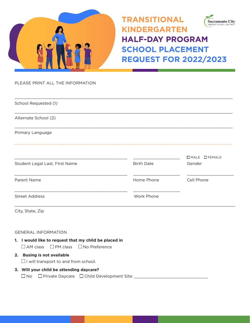

**Sacramento City** INIFIED SCHOOL DISTR

**HALF-DAY PROGRAM SCHOOL PLACEMENT REQUEST FOR 2022/2023** 

PLEASE PRINT ALL THE INFORMATION

| School Requested (1)           |                   |                 |
|--------------------------------|-------------------|-----------------|
| Alternate School (2)           |                   |                 |
| Primary Language               |                   |                 |
|                                |                   |                 |
|                                |                   | □ MALE □ FEMALE |
| Student Legal Last, First Name | <b>Birth Date</b> | Gender          |
| Parent Name                    | Home Phone        | Cell Phone      |
| <b>Street Address</b>          | Work Phone        |                 |
|                                |                   |                 |

City, State, Zip

GENERAL INFORMATION

**1. I would like to request that my child be placed in**  $\Box$  AM class  $\Box$  PM class  $\Box$  No Preference

#### **2. Busing is not available**

 $\Box$  I will transport to and from school.

#### **3. Will your child be attending daycare?**

 $\square$  No  $\square$  Private Daycare  $\square$  Child Development Site:  $\square$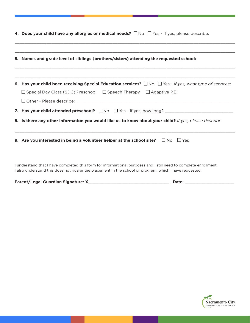|  | 4. Does your child have any allergies or medical needs? $\square$ No $\square$ Yes - If yes, please describe: |  |  |  |  |
|--|---------------------------------------------------------------------------------------------------------------|--|--|--|--|
|--|---------------------------------------------------------------------------------------------------------------|--|--|--|--|

| 5. Names and grade level of siblings (brothers/sisters) attending the requested school:                                                                                                                                   |
|---------------------------------------------------------------------------------------------------------------------------------------------------------------------------------------------------------------------------|
| 6. Has your child been receiving Special Education services? $\Box$ No $\Box$ Yes - If yes, what type of services:<br>$\Box$ Special Day Class (SDC) Preschool $\Box$ Speech Therapy $\Box$ Adaptive P.E.                 |
|                                                                                                                                                                                                                           |
| <b>7. Has your child attended preschool?</b> $\Box$ No $\Box$ Yes - If yes, how long?                                                                                                                                     |
| 8. Is there any other information you would like us to know about your child? If yes, please describe                                                                                                                     |
| 9. Are you interested in being a volunteer helper at the school site? $\square$ No $\square$ Yes                                                                                                                          |
| I understand that I have completed this form for informational purposes and I still need to complete enrollment.<br>I also understand this does not guarantee placement in the school or program, which I have requested. |

 $\_$  , and the state of the state of the state of the state of the state of the state of the state of the state of the state of the state of the state of the state of the state of the state of the state of the state of the

| Parent/Legal Guardian Signature: X | <b>Date:</b> |  |
|------------------------------------|--------------|--|
|                                    |              |  |

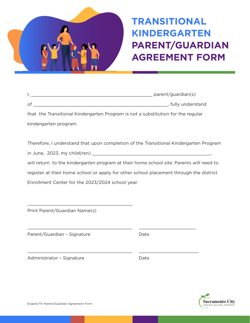

## **TRANSITIONAL KINDERGARTEN PARENT/GUARDIAN AGREEMENT FORM**

|         | parent/guardian(s) |
|---------|--------------------|
| $\circ$ | fully understand   |

that the Transitional Kindergarten Program is not a substitution for the regular kindergarten program.

 $\_$  , and the set of the set of the set of the set of the set of the set of the set of the set of the set of the set of the set of the set of the set of the set of the set of the set of the set of the set of the set of th

 $\_$  , and the state of the state of the state of the state of the state of the state of the state of the state of the state of the state of the state of the state of the state of the state of the state of the state of the

Therefore, I understand that upon completion of the Transitional Kindergarten Program in June, 2023, my child(ren) \_\_\_\_\_\_\_\_\_\_\_\_\_\_\_\_\_\_\_\_\_\_\_\_\_\_\_\_\_\_\_\_\_\_\_\_\_\_\_\_\_\_\_\_, will return to the kindergarten program at their home school site. Parents will need to register at their home school or apply for other school placement through the district Enrollment Center for the 2023/2024 school year.

Print Parent/Guardian Name(s)

\_\_\_\_\_\_\_\_\_\_\_\_\_\_\_\_\_\_\_\_\_\_\_\_\_\_\_\_\_\_\_\_\_\_\_\_\_\_\_

Parent/Guardian – Signature Date

Administrator - Signature **Date** 

![](_page_5_Picture_10.jpeg)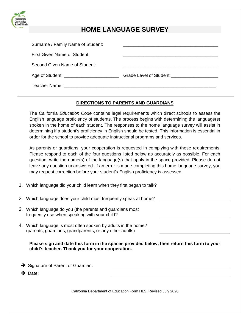| rict                              |                                                 |
|-----------------------------------|-------------------------------------------------|
|                                   | <b>HOME LANGUAGE SURVEY</b>                     |
| Surname / Family Name of Student: |                                                 |
| First Given Name of Student:      |                                                 |
| Second Given Name of Student:     |                                                 |
|                                   | Grade Level of Student: Grade Level of Student: |
| Teacher Name:                     |                                                 |

#### **DIRECTIONS TO PARENTS AND GUARDIANS**

The California *Education Code* contains legal requirements which direct schools to assess the English language proficiency of students. The process begins with determining the language(s) spoken in the home of each student. The responses to the home language survey will assist in determining if a student's proficiency in English should be tested. This information is essential in order for the school to provide adequate instructional programs and services.

As parents or guardians, your cooperation is requested in complying with these requirements. Please respond to each of the four questions listed below as accurately as possible. For each question, write the name(s) of the language(s) that apply in the space provided. Please do not leave any question unanswered. If an error is made completing this home language survey, you may request correction before your student's English proficiency is assessed.

- 1. Which language did your child learn when they first began to talk?
- 2. Which language does your child most frequently speak at home?
- 3. Which language do you (the parents and guardians most frequently use when speaking with your child?
- 4. Which language is most often spoken by adults in the home? (parents, guardians, grandparents, or any other adults)

**Please sign and date this form in the spaces provided below, then return this form to your child's teacher. Thank you for your cooperation.** 

**→** Signature of Parent or Guardian:

➔ Date:

**Sacrament School Dist** 

California Department of Education Form HLS, Revised July 2020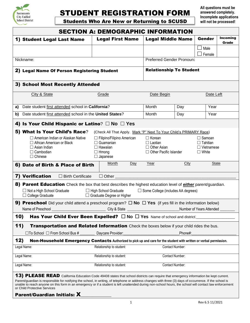![](_page_7_Picture_0.jpeg)

### STUDENT REGISTRATION FORM

**Students Who Are New or Returning to SCUSD** 

**All questions must be answered completely. Incomplete applications** 

| <b>SECTION A: DEMOGRAPHIC INFORMATION</b>                                                                                                                                                                                                                                                                                                                                                                                                                                                   |                                                                                                             |                                                                                   |         |                                                                       |                   |  |  |  |
|---------------------------------------------------------------------------------------------------------------------------------------------------------------------------------------------------------------------------------------------------------------------------------------------------------------------------------------------------------------------------------------------------------------------------------------------------------------------------------------------|-------------------------------------------------------------------------------------------------------------|-----------------------------------------------------------------------------------|---------|-----------------------------------------------------------------------|-------------------|--|--|--|
| 1) Student Legal Last Name                                                                                                                                                                                                                                                                                                                                                                                                                                                                  | <b>Legal First Name</b>                                                                                     | <b>Legal Middle Name</b>                                                          |         | Gender                                                                | Incoming<br>Grade |  |  |  |
|                                                                                                                                                                                                                                                                                                                                                                                                                                                                                             |                                                                                                             |                                                                                   |         | Male                                                                  |                   |  |  |  |
| Nickname:                                                                                                                                                                                                                                                                                                                                                                                                                                                                                   |                                                                                                             | Preferred Gender Pronoun:                                                         |         | Female                                                                |                   |  |  |  |
|                                                                                                                                                                                                                                                                                                                                                                                                                                                                                             |                                                                                                             |                                                                                   |         |                                                                       |                   |  |  |  |
| <b>Relationship To Student</b><br>2) Legal Name Of Person Registering Student                                                                                                                                                                                                                                                                                                                                                                                                               |                                                                                                             |                                                                                   |         |                                                                       |                   |  |  |  |
| 3) School Most Recently Attended                                                                                                                                                                                                                                                                                                                                                                                                                                                            |                                                                                                             |                                                                                   |         |                                                                       |                   |  |  |  |
| City & State                                                                                                                                                                                                                                                                                                                                                                                                                                                                                | Grade                                                                                                       | Date Begin                                                                        |         | Date Left                                                             |                   |  |  |  |
| Date student first attended school in California?<br>a)                                                                                                                                                                                                                                                                                                                                                                                                                                     |                                                                                                             | Month                                                                             | Day     | Year                                                                  |                   |  |  |  |
| Date student first attended school in the United States?<br>b)                                                                                                                                                                                                                                                                                                                                                                                                                              |                                                                                                             | Month                                                                             | Day     | Year                                                                  |                   |  |  |  |
| 4) Is Your Child Hispanic or Latino? $\Box$ No $\Box$ Yes                                                                                                                                                                                                                                                                                                                                                                                                                                   |                                                                                                             |                                                                                   |         |                                                                       |                   |  |  |  |
| 5) What Is Your Child's Race?                                                                                                                                                                                                                                                                                                                                                                                                                                                               | (Check All That Apply. Mark "P" Next To Your Child's PRIMARY Race)                                          |                                                                                   |         |                                                                       |                   |  |  |  |
| $\Box$ American Indian or Alaskan Native<br>$\Box$ African American or Black<br>$\Box$ Asian Indian<br>$\Box$ Cambodian<br>$\Box$ Chinese                                                                                                                                                                                                                                                                                                                                                   | $\Box$ Filipino/Filipino American<br>$\Box$ Guamanian<br>$\Box$ Hawaiian<br>$\Box$ Hmong<br>$\Box$ Japanese | $\Box$ Korean<br>$\Box$ Laotian<br>$\Box$ Other Asian<br>□ Other Pacific Islander |         | $\Box$ Samoan<br>$\Box$ Tahitian<br>$\Box$ Vietnamese<br>$\Box$ White |                   |  |  |  |
| 6) Date of Birth & Place of Birth                                                                                                                                                                                                                                                                                                                                                                                                                                                           | Month<br>Day                                                                                                | Year                                                                              | City    | <b>State</b>                                                          |                   |  |  |  |
| 7) Verification<br>$\Box$ Birth Certificate                                                                                                                                                                                                                                                                                                                                                                                                                                                 | $\Box$ Other                                                                                                |                                                                                   |         |                                                                       |                   |  |  |  |
| 8) Parent Education Check the box that best describes the highest education level of <i>either</i> parent/guardian.<br>$\Box$ Not a High School Graduate<br>$\Box$ College Graduate                                                                                                                                                                                                                                                                                                         | $\Box$ High School Graduate<br>$\Box$ Graduate Degree or Higher                                             | $\Box$ Some College (includes AA degrees)                                         |         |                                                                       |                   |  |  |  |
| <b>9) Preschool</b> Did your child attend a preschool program? $\Box$ No $\Box$ Yes (if yes fill in the information below)                                                                                                                                                                                                                                                                                                                                                                  |                                                                                                             |                                                                                   |         |                                                                       |                   |  |  |  |
| Name of Preschool                                                                                                                                                                                                                                                                                                                                                                                                                                                                           | City & State                                                                                                |                                                                                   |         | Number of Years Attended                                              |                   |  |  |  |
| 10)<br><b>Has Your Child Ever Been Expelled?</b> $\Box$ No $\Box$ Yes Name of school and district:                                                                                                                                                                                                                                                                                                                                                                                          |                                                                                                             |                                                                                   |         |                                                                       |                   |  |  |  |
| 11)<br><b>Transportation and Related Information</b> Check the boxes below if your child rides the bus.<br>$\Box$ To School $\Box$ From School Bus #                                                                                                                                                                                                                                                                                                                                        | Daycare Provider:                                                                                           |                                                                                   | Phone#: |                                                                       |                   |  |  |  |
| 12)<br>Non-Household Emergency Contacts Authorized to pick up and care for the student with written or verbal permission.                                                                                                                                                                                                                                                                                                                                                                   |                                                                                                             |                                                                                   |         |                                                                       |                   |  |  |  |
| Legal Name:                                                                                                                                                                                                                                                                                                                                                                                                                                                                                 | Relationship to student:                                                                                    | Contact Number:                                                                   |         |                                                                       |                   |  |  |  |
| Legal Name:                                                                                                                                                                                                                                                                                                                                                                                                                                                                                 | Relationship to student:                                                                                    | Contact Number:                                                                   |         |                                                                       |                   |  |  |  |
| Legal Name:                                                                                                                                                                                                                                                                                                                                                                                                                                                                                 | Relationship to student:                                                                                    | Contact Number:                                                                   |         |                                                                       |                   |  |  |  |
|                                                                                                                                                                                                                                                                                                                                                                                                                                                                                             |                                                                                                             |                                                                                   |         |                                                                       |                   |  |  |  |
| 13) PLEASE READ California Education Code 49408 states that school districts can require that emergency information be kept current.<br>Parent/guardian is responsible for notifying the school, in writing, of telephone or address changes with three (3) days of occurrence. If the school is<br>unable to reach anyone on this form in an emergency or if a student is left unattended during non-school hours, the school will contact law enforcement<br>or Child Protective Services |                                                                                                             |                                                                                   |         |                                                                       |                   |  |  |  |

Parent/Guardian Initials: X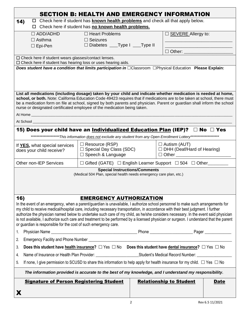|                                                                                                                                                                                                                                                       | <b>SECTION B: HEALTH AND EMERGENCY INFORMATION</b>                                                                    |  |                                   |             |  |  |  |  |  |
|-------------------------------------------------------------------------------------------------------------------------------------------------------------------------------------------------------------------------------------------------------|-----------------------------------------------------------------------------------------------------------------------|--|-----------------------------------|-------------|--|--|--|--|--|
| $\Box$ Check here if student has <b>known health problems</b> and check all that apply below.<br>14)                                                                                                                                                  |                                                                                                                       |  |                                   |             |  |  |  |  |  |
|                                                                                                                                                                                                                                                       | □ Check here if student has no known health problems.                                                                 |  |                                   |             |  |  |  |  |  |
| $\Box$ ADD/ADHD                                                                                                                                                                                                                                       | $\Box$ Heart Problems                                                                                                 |  | □ <b>SEVERE</b> Allergy to:       |             |  |  |  |  |  |
| $\Box$ Asthma                                                                                                                                                                                                                                         | $\Box$ Seizures                                                                                                       |  |                                   |             |  |  |  |  |  |
| $\Box$ Epi-Pen                                                                                                                                                                                                                                        | □ Diabetes ____Type I ____Type II                                                                                     |  |                                   |             |  |  |  |  |  |
|                                                                                                                                                                                                                                                       |                                                                                                                       |  | $\Box$ Other: $\_\_$              |             |  |  |  |  |  |
| $\Box$ Check here if student wears glasses/contact lenses.<br>$\Box$ Check here if student has hearing loss or uses hearing aids.                                                                                                                     |                                                                                                                       |  |                                   |             |  |  |  |  |  |
| Does student have a condition that limits participation in OClassroom OPhysical Education Please Explain:                                                                                                                                             |                                                                                                                       |  |                                   |             |  |  |  |  |  |
|                                                                                                                                                                                                                                                       |                                                                                                                       |  |                                   |             |  |  |  |  |  |
|                                                                                                                                                                                                                                                       |                                                                                                                       |  |                                   |             |  |  |  |  |  |
|                                                                                                                                                                                                                                                       |                                                                                                                       |  |                                   |             |  |  |  |  |  |
| List all medications (including dosage) taken by your child and indicate whether medication is needed at home,                                                                                                                                        |                                                                                                                       |  |                                   |             |  |  |  |  |  |
| school, or both. Note: California Education Code 49423 requires that if medications are to be taken at school, there must<br>be a medication form on file at school, signed by both parents and physician. Parent or guardian shall inform the school |                                                                                                                       |  |                                   |             |  |  |  |  |  |
| nurse or designated certificated employee of the medication being taken.                                                                                                                                                                              |                                                                                                                       |  |                                   |             |  |  |  |  |  |
|                                                                                                                                                                                                                                                       |                                                                                                                       |  |                                   |             |  |  |  |  |  |
| At School                                                                                                                                                                                                                                             |                                                                                                                       |  |                                   |             |  |  |  |  |  |
| 15) Does your child have an <u>Individualized Education Plan</u> (IEP)? □ No □ Yes                                                                                                                                                                    |                                                                                                                       |  |                                   |             |  |  |  |  |  |
|                                                                                                                                                                                                                                                       | ********************This information does not exclude any student from any Open Enrollment Lottery******************* |  |                                   |             |  |  |  |  |  |
| If YES, what special services                                                                                                                                                                                                                         | $\Box$ Resource (RSP)                                                                                                 |  | $\Box$ Autism (AUT)               |             |  |  |  |  |  |
| does your child receive?                                                                                                                                                                                                                              | $\square$ Special Day Class (SDC)                                                                                     |  | $\Box$ DHH (Deaf/Hard of Hearing) |             |  |  |  |  |  |
|                                                                                                                                                                                                                                                       | $\Box$ Speech & Language                                                                                              |  | $\Box$ Other $\Box$               |             |  |  |  |  |  |
| <b>Other non-IEP Services</b>                                                                                                                                                                                                                         | $\Box$ Gifted (GATE) $\Box$ English Learner Support $\Box$ 504 $\Box$ Other                                           |  |                                   |             |  |  |  |  |  |
|                                                                                                                                                                                                                                                       | <b>Special Instructions/Comments</b><br>(Medical 504 Plan, special health needs emergency care plan, etc.)            |  |                                   |             |  |  |  |  |  |
|                                                                                                                                                                                                                                                       |                                                                                                                       |  |                                   |             |  |  |  |  |  |
|                                                                                                                                                                                                                                                       |                                                                                                                       |  |                                   |             |  |  |  |  |  |
|                                                                                                                                                                                                                                                       |                                                                                                                       |  |                                   |             |  |  |  |  |  |
| 16)                                                                                                                                                                                                                                                   | <b>EMERGENCY AUTHORIZATION</b>                                                                                        |  |                                   |             |  |  |  |  |  |
| In the event of an emergency, when a parent/guardian is unavailable, I authorize school personnel to make such arrangements for                                                                                                                       |                                                                                                                       |  |                                   |             |  |  |  |  |  |
| my child to receive medical/hospital care, including necessary transportation, in accordance with their best judgment. I further                                                                                                                      |                                                                                                                       |  |                                   |             |  |  |  |  |  |
| authorize the physician named below to undertake such care of my child, as he/she considers necessary. In the event said physician                                                                                                                    |                                                                                                                       |  |                                   |             |  |  |  |  |  |
| is not available, I authorize such care and treatment to be performed by a licensed physician or surgeon. I understand that the parent<br>or guardian is responsible for the cost of such emergency care.                                             |                                                                                                                       |  |                                   |             |  |  |  |  |  |
| 1.                                                                                                                                                                                                                                                    |                                                                                                                       |  |                                   |             |  |  |  |  |  |
| 2.                                                                                                                                                                                                                                                    |                                                                                                                       |  |                                   |             |  |  |  |  |  |
| Does this student have health insurance? $\Box$ Yes $\Box$ No Does this student have dental insurance? $\Box$ Yes $\Box$ No<br>3.                                                                                                                     |                                                                                                                       |  |                                   |             |  |  |  |  |  |
|                                                                                                                                                                                                                                                       |                                                                                                                       |  |                                   |             |  |  |  |  |  |
| 4.                                                                                                                                                                                                                                                    |                                                                                                                       |  |                                   |             |  |  |  |  |  |
| If none, I give permission to SCUSD to share this information to help apply for health insurance for my child. $\Box$ Yes $\Box$ No<br>5.                                                                                                             |                                                                                                                       |  |                                   |             |  |  |  |  |  |
| The information provided is accurate to the best of my knowledge, and I understand my responsibility.                                                                                                                                                 |                                                                                                                       |  |                                   |             |  |  |  |  |  |
| <b>Signature of Person Registering Student</b>                                                                                                                                                                                                        |                                                                                                                       |  | <b>Relationship to Student</b>    | <b>Date</b> |  |  |  |  |  |
|                                                                                                                                                                                                                                                       |                                                                                                                       |  |                                   |             |  |  |  |  |  |
| X                                                                                                                                                                                                                                                     |                                                                                                                       |  |                                   |             |  |  |  |  |  |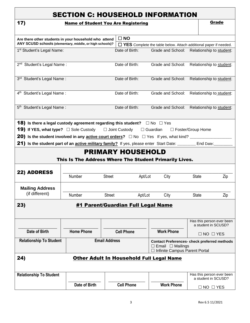|                                                                                                                                                                         | <b>Name of Student You Are Registering</b>                                         |                      |                |                                                               |              | Grade                                                                   |
|-------------------------------------------------------------------------------------------------------------------------------------------------------------------------|------------------------------------------------------------------------------------|----------------------|----------------|---------------------------------------------------------------|--------------|-------------------------------------------------------------------------|
| Are there other students in your household who attend                                                                                                                   |                                                                                    | $\square$ NO         |                |                                                               |              |                                                                         |
| ANY SCUSD schools (elementary, middle, or high schools)?                                                                                                                |                                                                                    |                      |                |                                                               |              | $\Box$ YES Complete the table below. Attach additional paper if needed. |
| 1 <sup>st</sup> Student's Legal Name:                                                                                                                                   |                                                                                    |                      | Date of Birth: |                                                               |              | Grade and School: Relationship to student:                              |
|                                                                                                                                                                         |                                                                                    |                      |                |                                                               |              |                                                                         |
| 2 <sup>nd</sup> Student's Legal Name:                                                                                                                                   |                                                                                    |                      | Date of Birth: |                                                               |              | Grade and School: Relationship to student:                              |
| 3rd Student's Legal Name:                                                                                                                                               |                                                                                    |                      | Date of Birth: |                                                               |              | Grade and School: Relationship to student:                              |
| 4 <sup>th</sup> Student's Legal Name:                                                                                                                                   |                                                                                    |                      | Date of Birth: | Grade and School:                                             |              | Relationship to student:                                                |
| 5 <sup>th</sup> Student's Legal Name:                                                                                                                                   |                                                                                    |                      | Date of Birth: |                                                               |              | Grade and School: Relationship to student:                              |
|                                                                                                                                                                         |                                                                                    |                      |                |                                                               |              |                                                                         |
|                                                                                                                                                                         |                                                                                    |                      |                |                                                               |              |                                                                         |
|                                                                                                                                                                         | <b>PRIMARY HOUSEHOLD</b><br>This Is The Address Where The Student Primarily Lives. |                      |                |                                                               |              |                                                                         |
|                                                                                                                                                                         | Number                                                                             | <b>Street</b>        | Apt/Lot        | City                                                          | <b>State</b> | Zip                                                                     |
| <b>Mailing Address</b><br>(if different)                                                                                                                                |                                                                                    |                      |                |                                                               |              |                                                                         |
|                                                                                                                                                                         | Number                                                                             | <b>Street</b>        | Apt/Lot        | City                                                          | <b>State</b> | Zip                                                                     |
|                                                                                                                                                                         | #1 Parent/Guardian Full Legal Name                                                 |                      |                |                                                               |              |                                                                         |
|                                                                                                                                                                         |                                                                                    |                      |                |                                                               |              | Has this person ever been<br>a student in SCUSD?                        |
| Date of Birth                                                                                                                                                           | <b>Home Phone</b>                                                                  | <b>Cell Phone</b>    |                | <b>Work Phone</b>                                             |              | $\Box$ NO $\Box$ YES                                                    |
| <b>Relationship To Student</b>                                                                                                                                          |                                                                                    | <b>Email Address</b> |                | $\Box$ Email $\Box$ Mailings<br>Infinite Campus Parent Portal |              |                                                                         |
|                                                                                                                                                                         | Other Adult In Household Full Legal Name                                           |                      |                |                                                               |              | <b>Contact Preferences- check preferred methods</b>                     |
| 21) Is the student part of an active military family? If yes, please enter Start Date: _______ End Date:<br>22) ADDRESS<br>23)<br>24)<br><b>Relationship To Student</b> |                                                                                    |                      |                |                                                               |              | Has this person ever been<br>a student in SCUSD?                        |